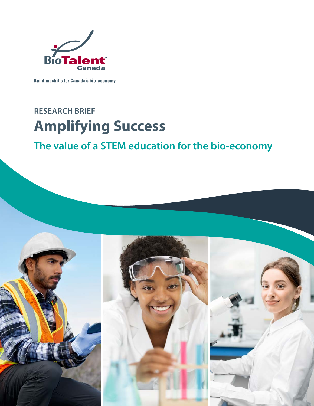

**Building skills for Canada's bio-economy** 

# **RESEARCH BRIEF Amplifying Success**

## **The value of a STEM education for the bio-economy**

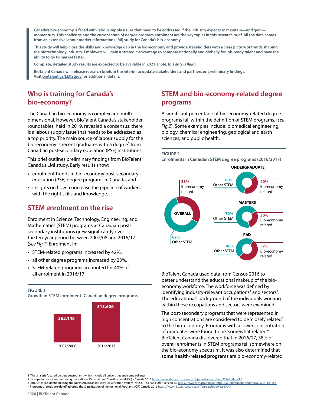**Canada's bio-economy is faced with labour supply issues that need to be addressed if the industry expects to maintain—and gain momentum. This challenge and the current state of degree program enrolment are the key topics in this research brief. All the data comes from an extensive labour market information (LMI) study for Canada's bio-economy.** 

**This study will help close the skills and knowledge gap in the bio-economy and provide stakeholders with a clear picture of trends shaping the biotechnology industry. Employers will gain a strategic advantage to compete nationally and globally for job-ready talent and have the ability to go to market faster.**

**Complete, detailed study results are expected to be available in 2021. (***note: this date is fluid)*

**BioTalent Canada will release research briefs in the interim to update stakeholders and partners on preliminary findings. Visit [biotalent.ca/LMIStudy](http://biotalent.ca/LMIStudy) for additional details.** 

## **Who is training for Canada's bio-economy?**

The Canadian bio-economy is complex and multidimensional. However, BioTalent Canada's stakeholder roundtables, held in 2019, revealed a consensus: there is a labour supply issue that needs to be addressed as a top priority. The main source of labour supply for the bio-economy is recent graduates with a degree<sup>1</sup> from Canadian post-secondary education (PSE) institutions.

This brief outlines preliminary findings from BioTalent Canada's LMI study. Early results show:

- enrolment trends in bio-economy post-secondary education (PSE) degree programs in Canada, and
- insights on how to increase the pipeline of workers with the right skills and knowledge.

## **STEM enrolment on the rise**

Enrolment in Science, Technology, Engineering, and Mathematics (STEM) programs at Canadian postsecondary institutions grew significantly over the ten-year period between 2007/08 and 2016/17. (*see Fig 1*) Enrolment in:

- STEM-related programs increased by 42%.
- all other degree programs increased by 23%.
- STEM-related programs accounted for 40% of all enrolment in 2016/17.



## **STEM and bio-economy-related degree programs**

A significant percentage of bio-economy-related degree programs fall within the definition of STEM programs. (*see Fig 2*). Some examples include: biomedical engineering, biology, chemical engineering, geological and earth sciences, and public health.



**Enrolments in Canadian STEM degree programs (2016/2017)**



BioTalent Canada used data from Census 2016 to better understand the educational makeup of the bioeconomy workforce. The workforce was defined by identifying industry-relevant occupations<sup>2</sup> and sectors<sup>3</sup>. The educational<sup>4</sup> background of the individuals working within these occupations and sectors were examined.

The post-secondary programs that were represented in high concentrations are considered to be "closely related" to the bio-economy. Programs with a lower concentration of graduates were found to be "somewhat related." BioTalent Canada discovered that in 2016/17, 38% of overall enrolments in STEM programs fell somewhere on the bio-economy spectrum. It was also determined that **some health-related programs** are bio-economy-related.

- 2 Occupations are identified using the National Occupational Classification (NOC) Canada 2016 <https://www.statcan.gc.ca/eng/subjects/standard/noc/2016/indexV1.3>
- 3 Industries are identified using the North American Industry Classification System (NAICS) Canada 2017 Version 3.0<https://www23.statcan.gc.ca/imdb/p3VD.pl?Function=getVD&TVD=1181553> 4 Programs of study are identified using the Classification of Instructional Programs (CIP) Canada 2016<https://www150.statcan.gc.ca/n1/en/catalogue/12-590-X>

<sup>1</sup> This analysis focused on degree programs which include all universities and some colleges.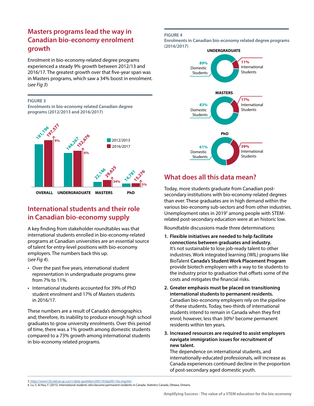## **Masters programs lead the way in Canadian bio-economy enrolment growth**

Enrolment in bio-economy-related degree programs experienced a steady 9% growth between 2012/13 and 2016/17. The greatest growth over that five-year span was in Masters programs, which saw a 34% boost in enrolment. (*see Fig 3*)

#### **FIGURE 3**

**Enrolments in bio-economy related Canadian degree programs (2012/2013 and 2016/2017)**



## **International students and their role in Canadian bio-economy supply**

A key finding from stakeholder roundtables was that international students enrolled in bio-economy-related programs at Canadian universities are an essential source of talent for entry-level positions with bio-economy employers. The numbers back this up. (*see Fig 4*).

- Over the past five years, international student representation in undergraduate programs grew from 7% to 11%.
- International students accounted for 39% of PhD student enrolment and 17% of Masters students in 2016/17.

These numbers are a result of Canada's demographics and; therefore, its inability to produce enough high school graduates to grow university enrolments. Over this period of time, there was a 1% growth among domestic students compared to a 73% growth among international students in bio-economy related programs.

#### **FIGURE 4**

**Enrolments in Canadian bio-economy related degree programs (2016/2017)**



## **What does all this data mean?**

Today, more students graduate from Canadian postsecondary institutions with bio-economy-related degrees than ever. These graduates are in high demand within the various bio-economy sub-sectors and from other industries. Unemployment rates in 2019<sup>5</sup> among people with STEMrelated post-secondary education were at an historic low.

Roundtable discussions made three determinations:

- **1. Flexible initiatives are needed to help facilitate connections between graduates and industry.** It's not sustainable to lose job-ready talent to other industries. Work integrated learning (WIL) programs like BioTalent **[Canada's Student Work Placement Program](http://Canada’s Student Work Placement Program)** provide biotech employers with a way to tie students to the industry prior to graduation that offsets some of the costs and mitigates the financial risks.
- **2. Greater emphasis must be placed on transitioning international students to permanent residents.** Canadian bio-economy employers rely on the pipeline of these students. Today, two-thirds of international students intend to remain in Canada when they first enrol; however, less than 30%<sup>6</sup> become permanent residents within ten years.
- **3. Increased resources are required to assist employers navigate immigration issues for recruitment of new talent.**

The dependence on international students, and internationally-educated professionals, will increase as Canada experiences continued decline in the proportion of post-secondary aged domestic youth.

<sup>5</sup> <https://www150.statcan.gc.ca/n1/daily-quotidien/200110/dq200110a-eng.htm>

<sup>6</sup> Lu, Y., & Hou, F. (2015). International students who become permanent residents in Canada. Statistics Canada, Ottawa, Ontario.